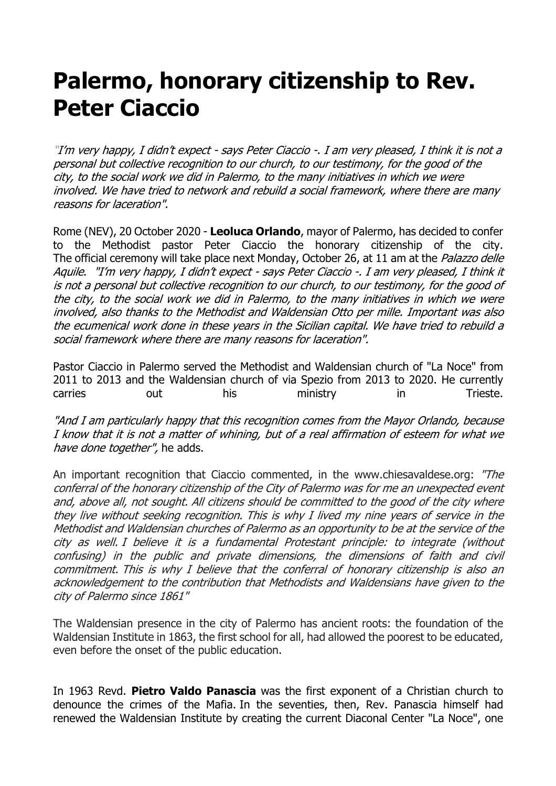## **Palermo, honorary citizenship to Rev. Peter Ciaccio**

"I'm very happy, I didn't expect - says Peter Ciaccio -. I am very pleased, I think it is not a personal but collective recognition to our church, to our testimony, for the good of the city, to the social work we did in Palermo, to the many initiatives in which we were involved. We have tried to network and rebuild a social framework, where there are many reasons for laceration".

Rome (NEV), 20 October 2020 - **Leoluca Orlando**, mayor of Palermo, has decided to confer to the Methodist pastor Peter Ciaccio the honorary citizenship of the city. The official ceremony will take place next Monday, October 26, at 11 am at the *Palazzo delle* Aquile. "I'm very happy, I didn't expect - says Peter Ciaccio -. I am very pleased, I think it is not a personal but collective recognition to our church, to our testimony, for the good of the city, to the social work we did in Palermo, to the many initiatives in which we were involved, also thanks to the Methodist and Waldensian Otto per mille. Important was also the ecumenical work done in these years in the Sicilian capital. We have tried to rebuild a social framework where there are many reasons for laceration".

Pastor Ciaccio in Palermo served the Methodist and Waldensian church of "La Noce" from 2011 to 2013 and the Waldensian church of via Spezio from 2013 to 2020. He currently carries out his ministry in Trieste.

"And I am particularly happy that this recognition comes from the Mayor Orlando, because I know that it is not a matter of whining, but of a real affirmation of esteem for what we have done together", he adds.

An important recognition that Ciaccio commented, in the www.chiesavaldese.org: "The conferral of the honorary citizenship of the City of Palermo was for me an unexpected event and, above all, not sought. All citizens should be committed to the good of the city where they live without seeking recognition. This is why I lived my nine years of service in the Methodist and Waldensian churches of Palermo as an opportunity to be at the service of the city as well. I believe it is a fundamental Protestant principle: to integrate (without confusing) in the public and private dimensions, the dimensions of faith and civil commitment. This is why I believe that the conferral of honorary citizenship is also an acknowledgement to the contribution that Methodists and Waldensians have given to the city of Palermo since 1861"

The Waldensian presence in the city of Palermo has ancient roots: the foundation of the Waldensian Institute in 1863, the first school for all, had allowed the poorest to be educated, even before the onset of the public education.

In 1963 Revd. **Pietro Valdo Panascia** was the first exponent of a Christian church to denounce the crimes of the Mafia. In the seventies, then, Rev. Panascia himself had renewed the Waldensian Institute by creating the current Diaconal Center "La Noce", one